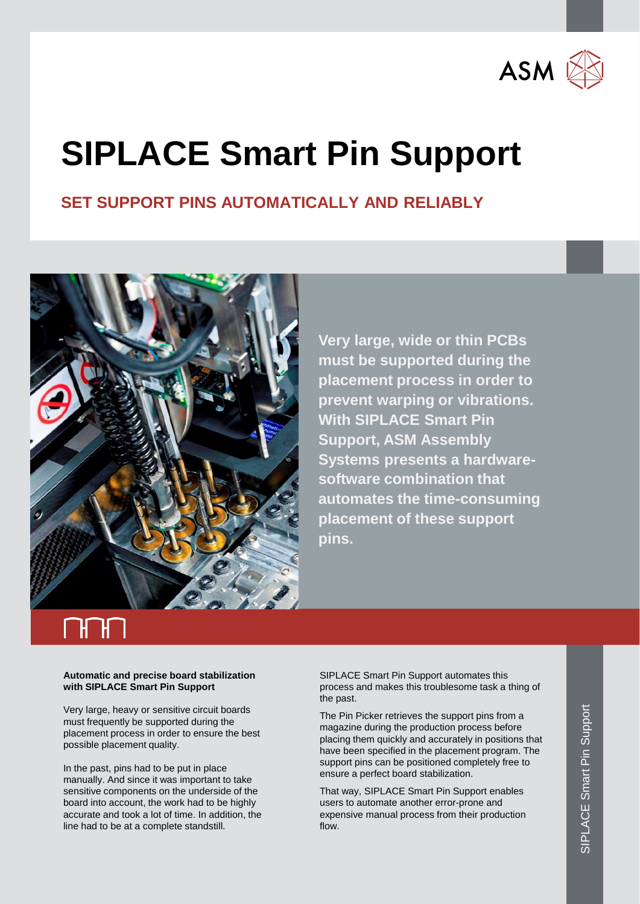

## **SIPLACE Smart Pin Support**

### **SET SUPPORT PINS AUTOMATICALLY AND RELIABLY**



**Very large, wide or thin PCBs must be supported during the placement process in order to prevent warping or vibrations. With SIPLACE Smart Pin Support, ASM Assembly Systems presents a hardwaresoftware combination that automates the time-consuming placement of these support pins.** 

### **Automatic and precise board stabilization with SIPLACE Smart Pin Support**

Very large, heavy or sensitive circuit boards must frequently be supported during the placement process in order to ensure the best possible placement quality.

In the past, pins had to be put in place manually. And since it was important to take sensitive components on the underside of the board into account, the work had to be highly accurate and took a lot of time. In addition, the line had to be at a complete standstill.

SIPLACE Smart Pin Support automates this process and makes this troublesome task a thing of the past.

The Pin Picker retrieves the support pins from a magazine during the production process before placing them quickly and accurately in positions that have been specified in the placement program. The support pins can be positioned completely free to ensure a perfect board stabilization.

That way, SIPLACE Smart Pin Support enables users to automate another error-prone and expensive manual process from their production flow.